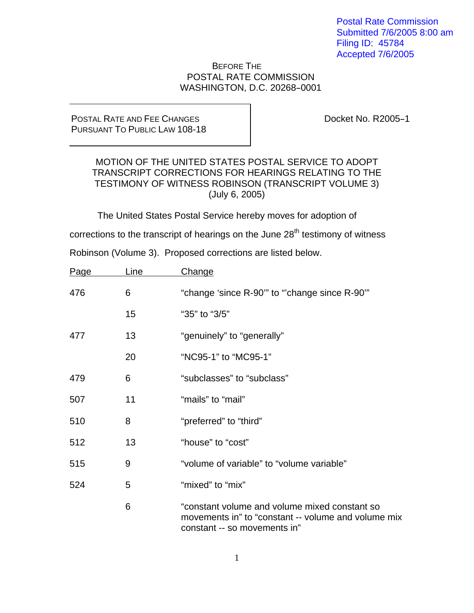Postal Rate Commission Submitted 7/6/2005 8:00 am Filing ID: 45784 Accepted 7/6/2005

## BEFORE THE POSTAL RATE COMMISSION WASHINGTON, D.C. 20268-0001

## POSTAL RATE AND FEE CHANGES PURSUANT TO PUBLIC LAW 108-18

Docket No. R2005-1

## MOTION OF THE UNITED STATES POSTAL SERVICE TO ADOPT TRANSCRIPT CORRECTIONS FOR HEARINGS RELATING TO THE TESTIMONY OF WITNESS ROBINSON (TRANSCRIPT VOLUME 3) (July 6, 2005)

The United States Postal Service hereby moves for adoption of

corrections to the transcript of hearings on the June  $28<sup>th</sup>$  testimony of witness

Robinson (Volume 3). Proposed corrections are listed below.

| Page | <u>Line</u> | Change                                                                                                                               |
|------|-------------|--------------------------------------------------------------------------------------------------------------------------------------|
| 476  | 6           | "change 'since R-90" to "change since R-90"                                                                                          |
|      | 15          | "35" to "3/5"                                                                                                                        |
| 477  | 13          | "genuinely" to "generally"                                                                                                           |
|      | 20          | "NC95-1" to "MC95-1"                                                                                                                 |
| 479  | 6           | "subclasses" to "subclass"                                                                                                           |
| 507  | 11          | "mails" to "mail"                                                                                                                    |
| 510  | 8           | "preferred" to "third"                                                                                                               |
| 512  | 13          | "house" to "cost"                                                                                                                    |
| 515  | 9           | "volume of variable" to "volume variable"                                                                                            |
| 524  | 5           | "mixed" to "mix"                                                                                                                     |
|      | 6           | "constant volume and volume mixed constant so<br>movements in" to "constant -- volume and volume mix<br>constant -- so movements in" |